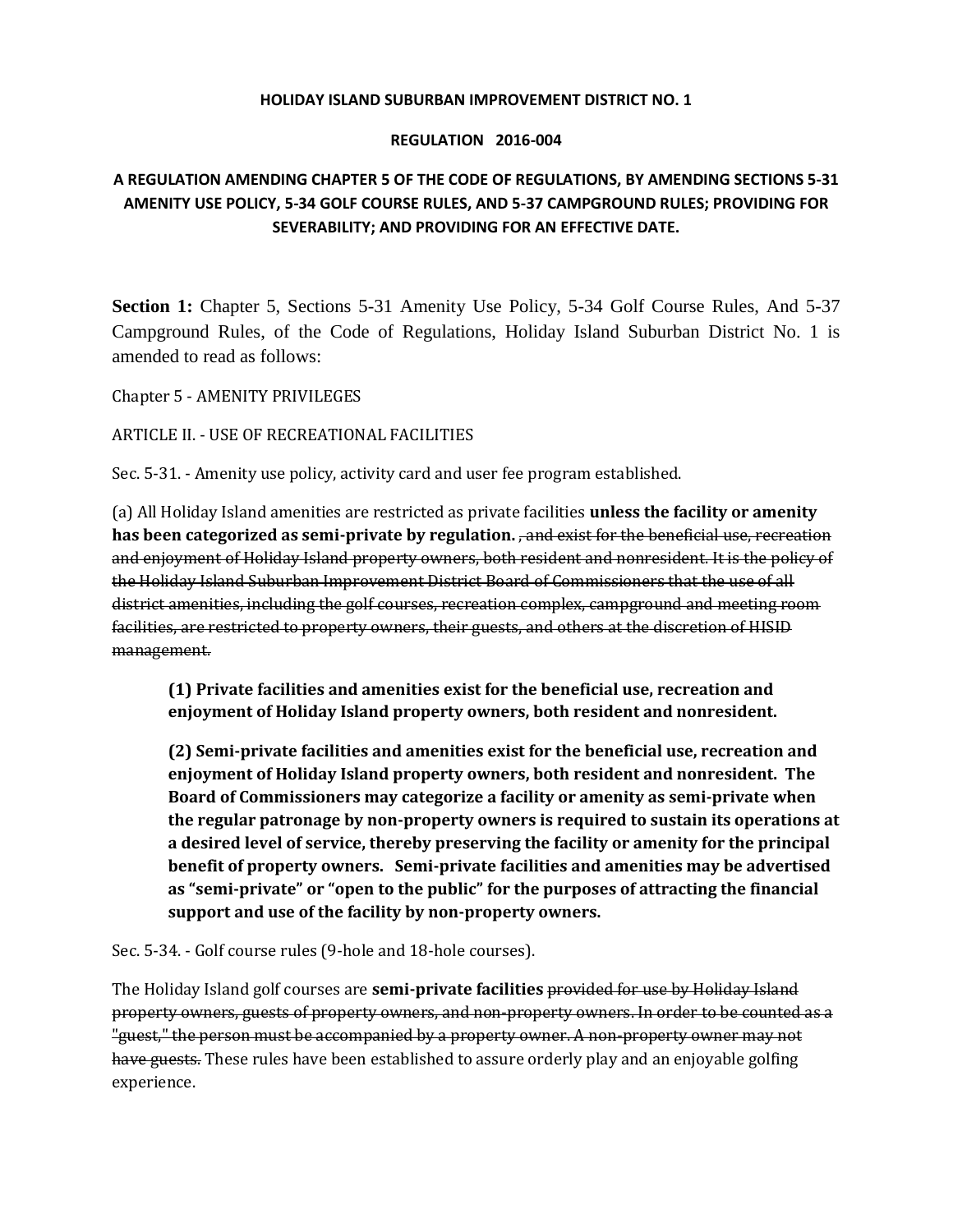## **HOLIDAY ISLAND SUBURBAN IMPROVEMENT DISTRICT NO. 1**

## **REGULATION 2016-004**

## **A REGULATION AMENDING CHAPTER 5 OF THE CODE OF REGULATIONS, BY AMENDING SECTIONS 5-31 AMENITY USE POLICY, 5-34 GOLF COURSE RULES, AND 5-37 CAMPGROUND RULES; PROVIDING FOR SEVERABILITY; AND PROVIDING FOR AN EFFECTIVE DATE.**

**Section 1:** Chapter 5, Sections 5-31 Amenity Use Policy, 5-34 Golf Course Rules, And 5-37 Campground Rules, of the Code of Regulations, Holiday Island Suburban District No. 1 is amended to read as follows:

Chapter 5 - AMENITY PRIVILEGES

ARTICLE II. - USE OF RECREATIONAL FACILITIES

Sec. 5-31. - Amenity use policy, activity card and user fee program established.

(a) All Holiday Island amenities are restricted as private facilities **unless the facility or amenity has been categorized as semi-private by regulation.** , and exist for the beneficial use, recreation and enjoyment of Holiday Island property owners, both resident and nonresident. It is the policy of the Holiday Island Suburban Improvement District Board of Commissioners that the use of all district amenities, including the golf courses, recreation complex, campground and meeting room facilities, are restricted to property owners, their guests, and others at the discretion of HISID management.

**(1) Private facilities and amenities exist for the beneficial use, recreation and enjoyment of Holiday Island property owners, both resident and nonresident.**

**(2) Semi-private facilities and amenities exist for the beneficial use, recreation and enjoyment of Holiday Island property owners, both resident and nonresident. The Board of Commissioners may categorize a facility or amenity as semi-private when the regular patronage by non-property owners is required to sustain its operations at a desired level of service, thereby preserving the facility or amenity for the principal benefit of property owners. Semi-private facilities and amenities may be advertised as "semi-private" or "open to the public" for the purposes of attracting the financial support and use of the facility by non-property owners.**

Sec. 5-34. - Golf course rules (9-hole and 18-hole courses).

The Holiday Island golf courses are **semi-private facilities** provided for use by Holiday Island property owners, guests of property owners, and non-property owners. In order to be counted as a "guest," the person must be accompanied by a property owner. A non-property owner may not have guests. These rules have been established to assure orderly play and an enjoyable golfing experience.